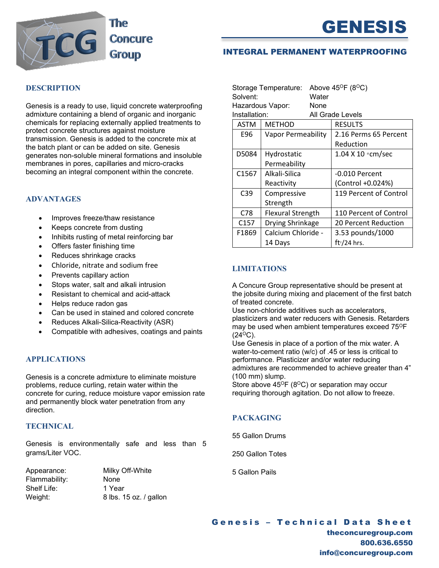



## INTEGRAL PERMANENT WATERPROOFING

### **DESCRIPTION**

Genesis is a ready to use, liquid concrete waterproofing admixture containing a blend of organic and inorganic chemicals for replacing externally applied treatments to protect concrete structures against moisture transmission. Genesis is added to the concrete mix at the batch plant or can be added on site. Genesis generates non-soluble mineral formations and insoluble membranes in pores, capillaries and micro-cracks becoming an integral component within the concrete.

#### **ADVANTAGES**

- Improves freeze/thaw resistance
- Keeps concrete from dusting
- Inhibits rusting of metal reinforcing bar
- Offers faster finishing time
- Reduces shrinkage cracks
- Chloride, nitrate and sodium free
- Prevents capillary action
- Stops water, salt and alkali intrusion
- Resistant to chemical and acid-attack
- Helps reduce radon gas
- Can be used in stained and colored concrete
- Reduces Alkali-Silica-Reactivity (ASR)
- Compatible with adhesives, coatings and paints

### **APPLICATIONS**

Genesis is a concrete admixture to eliminate moisture problems, reduce curling, retain water within the concrete for curing, reduce moisture vapor emission rate and permanently block water penetration from any direction.

## **TECHNICAL**

Genesis is environmentally safe and less than 5 grams/Liter VOC.

| Appearance:   |  |
|---------------|--|
| Flammability: |  |
| Shelf Life:   |  |
| Weight:       |  |

Milky Off-White None 1 Year 8 lbs. 15 oz. / gallon

| Storage Temperature:<br>Solvent:<br>Hazardous Vapor: |                           | Water<br>None | Above $45^{\circ}F(8^{\circ}C)$ |
|------------------------------------------------------|---------------------------|---------------|---------------------------------|
| Installation:                                        |                           |               | All Grade Levels                |
| ASTM                                                 | <b>METHOD</b>             |               | <b>RESULTS</b>                  |
| E96                                                  | <b>Vapor Permeability</b> |               | 2.16 Perms 65 Percent           |
|                                                      |                           |               | Reduction                       |
| D5084                                                | Hydrostatic               |               | 1.04 X 10 * cm/sec              |
|                                                      | Permeability              |               |                                 |
| C <sub>1567</sub>                                    | Alkali-Silica             |               | -0.010 Percent                  |
|                                                      | Reactivity                |               | (Control +0.024%)               |
| C <sub>39</sub>                                      | Compressive               |               | 119 Percent of Control          |
|                                                      | Strength                  |               |                                 |
| C78                                                  | <b>Flexural Strength</b>  |               | 110 Percent of Control          |
| C <sub>157</sub>                                     | Drying Shrinkage          |               | 20 Percent Reduction            |
| F1869                                                | Calcium Chloride -        |               | 3.53 pounds/1000                |
|                                                      | 14 Days                   |               | ft <sup>2</sup> /24 hrs.        |

#### **LIMITATIONS**

A Concure Group representative should be present at the jobsite during mixing and placement of the first batch of treated concrete.

Use non-chloride additives such as accelerators, plasticizers and water reducers with Genesis. Retarders may be used when ambient temperatures exceed 75°F  $(24^{\circ}C)$ .

Use Genesis in place of a portion of the mix water. A water-to-cement ratio (w/c) of .45 or less is critical to performance. Plasticizer and/or water reducing admixtures are recommended to achieve greater than 4" (100 mm) slump.

Store above  $45^{\circ}F(8^{\circ}C)$  or separation may occur requiring thorough agitation. Do not allow to freeze.

# **PACKAGING**

55 Gallon Drums

250 Gallon Totes

5 Gallon Pails

Genesis – Technical Data Sheet theconcuregroup.com 800.636.6550 info@concuregroup.com